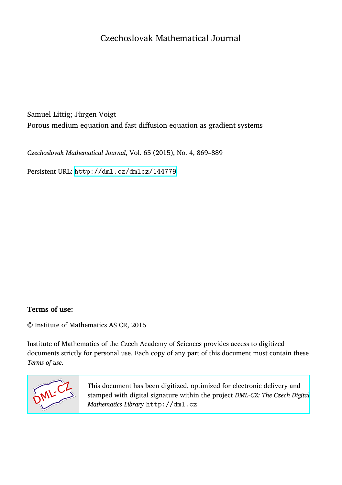# Samuel Littig; Jürgen Voigt Porous medium equation and fast diffusion equation as gradient systems

*Czechoslovak Mathematical Journal*, Vol. 65 (2015), No. 4, 869–889

Persistent URL: <http://dml.cz/dmlcz/144779>

### **Terms of use:**

© Institute of Mathematics AS CR, 2015

Institute of Mathematics of the Czech Academy of Sciences provides access to digitized documents strictly for personal use. Each copy of any part of this document must contain these *Terms of use*.



[This document has been digitized, optimized for electronic delivery and](http://dml.cz) stamped with digital signature within the project *DML-CZ: The Czech Digital Mathematics Library* http://dml.cz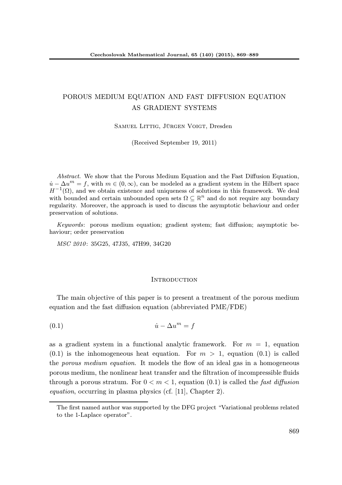## POROUS MEDIUM EQUATION AND FAST DIFFUSION EQUATION AS GRADIENT SYSTEMS

Samuel Littig, Jürgen Voigt, Dresden

(Received September 19, 2011)

Abstract. We show that the Porous Medium Equation and the Fast Diffusion Equation,  $\dot{u} - \Delta u^m = f$ , with  $m \in (0, \infty)$ , can be modeled as a gradient system in the Hilbert space  $H^{-1}(\Omega)$ , and we obtain existence and uniqueness of solutions in this framework. We deal with bounded and certain unbounded open sets  $\Omega \subseteq \mathbb{R}^n$  and do not require any boundary regularity. Moreover, the approach is used to discuss the asymptotic behaviour and order preservation of solutions.

Keywords: porous medium equation; gradient system; fast diffusion; asymptotic behaviour; order preservation

MSC 2010: 35G25, 47J35, 47H99, 34G20

#### **INTRODUCTION**

The main objective of this paper is to present a treatment of the porous medium equation and the fast diffusion equation (abbreviated PME/FDE)

$$
(0.1)\qquad \qquad \dot{u} - \Delta u^m = f
$$

as a gradient system in a functional analytic framework. For  $m = 1$ , equation  $(0.1)$  is the inhomogeneous heat equation. For  $m > 1$ , equation  $(0.1)$  is called the porous medium equation. It models the flow of an ideal gas in a homogeneous porous medium, the nonlinear heat transfer and the filtration of incompressible fluids through a porous stratum. For  $0 < m < 1$ , equation (0.1) is called the *fast diffusion* equation, occurring in plasma physics (cf. [11], Chapter 2).

The first named author was supported by the DFG project "Variational problems related to the 1-Laplace operator".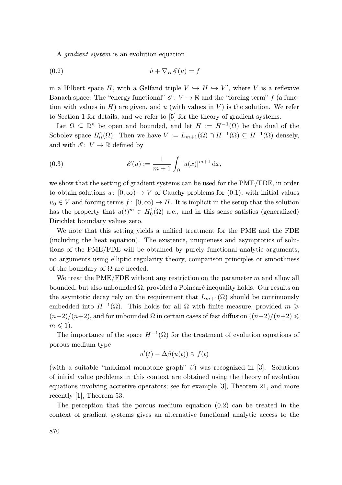A gradient system is an evolution equation

(0.2) <sup>u</sup>˙ <sup>+</sup> <sup>∇</sup>H<sup>E</sup> (u) = <sup>f</sup>

in a Hilbert space H, with a Gelfand triple  $V \hookrightarrow H \hookrightarrow V'$ , where V is a reflexive Banach space. The "energy functional"  $\mathscr{E} : V \to \mathbb{R}$  and the "forcing term" f (a function with values in  $H$ ) are given, and u (with values in  $V$ ) is the solution. We refer to Section 1 for details, and we refer to [5] for the theory of gradient systems.

Let  $\Omega \subseteq \mathbb{R}^n$  be open and bounded, and let  $H := H^{-1}(\Omega)$  be the dual of the Sobolev space  $H_0^1(\Omega)$ . Then we have  $V := L_{m+1}(\Omega) \cap H^{-1}(\Omega) \subseteq H^{-1}(\Omega)$  densely, and with  $\mathscr{E} \colon V \to \mathbb{R}$  defined by

(0.3) 
$$
\mathscr{E}(u) := \frac{1}{m+1} \int_{\Omega} |u(x)|^{m+1} dx,
$$

we show that the setting of gradient systems can be used for the PME/FDE, in order to obtain solutions  $u: [0, \infty) \to V$  of Cauchy problems for  $(0.1)$ , with initial values  $u_0 \in V$  and forcing terms  $f: [0, \infty) \to H$ . It is implicit in the setup that the solution has the property that  $u(t)^m \in H_0^1(\Omega)$  a.e., and in this sense satisfies (generalized) Dirichlet boundary values zero.

We note that this setting yields a unified treatment for the PME and the FDE (including the heat equation). The existence, uniqueness and asymptotics of solutions of the PME/FDE will be obtained by purely functional analytic arguments; no arguments using elliptic regularity theory, comparison principles or smoothness of the boundary of  $\Omega$  are needed.

We treat the PME/FDE without any restriction on the parameter  $m$  and allow all bounded, but also unbounded  $\Omega$ , provided a Poincaré inequality holds. Our results on the asymtotic decay rely on the requirement that  $L_{m+1}(\Omega)$  should be continuously embedded into  $H^{-1}(\Omega)$ . This holds for all  $\Omega$  with finite measure, provided  $m \geqslant$  $(n-2)/(n+2)$ , and for unbounded  $\Omega$  in certain cases of fast diffusion  $((n-2)/(n+2) \le$  $m \leqslant 1$ .

The importance of the space  $H^{-1}(\Omega)$  for the treatment of evolution equations of porous medium type

$$
u'(t) - \Delta\beta(u(t)) \ni f(t)
$$

(with a suitable "maximal monotone graph"  $\beta$ ) was recognized in [3]. Solutions of initial value problems in this context are obtained using the theory of evolution equations involving accretive operators; see for example [3], Theorem 21, and more recently [1], Theorem 53.

The perception that the porous medium equation  $(0.2)$  can be treated in the context of gradient systems gives an alternative functional analytic access to the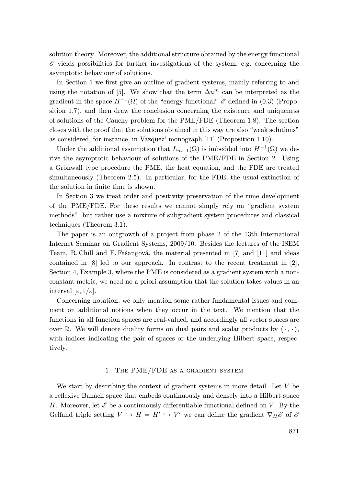solution theory. Moreover, the additional structure obtained by the energy functional  $\mathscr E$  yields possibilities for further investigations of the system, e.g. concerning the asymptotic behaviour of solutions.

In Section 1 we first give an outline of gradient systems, mainly referring to and using the notation of [5]. We show that the term  $\Delta u^m$  can be interpreted as the gradient in the space  $H^{-1}(\Omega)$  of the "energy functional"  $\mathscr E$  defined in (0.3) (Proposition 1.7), and then draw the conclusion concerning the existence and uniqueness of solutions of the Cauchy problem for the PME/FDE (Theorem 1.8). The section closes with the proof that the solutions obtained in this way are also "weak solutions" as considered, for instance, in Vazquez' monograph [11] (Proposition 1.10).

Under the additional assumption that  $L_{m+1}(\Omega)$  is imbedded into  $H^{-1}(\Omega)$  we derive the asymptotic behaviour of solutions of the PME/FDE in Section 2. Using a Grönwall type procedure the PME, the heat equation, and the FDE are treated simultaneously (Theorem 2.5). In particular, for the FDE, the usual extinction of the solution in finite time is shown.

In Section 3 we treat order and positivity preservation of the time development of the PME/FDE. For these results we cannot simply rely on "gradient system methods", but rather use a mixture of subgradient system procedures and classical techniques (Theorem 3.1).

The paper is an outgrowth of a project from phase 2 of the 13th International Internet Seminar on Gradient Systems, 2009/10. Besides the lectures of the ISEM Team, R. Chill and E. Fašangová, the material presented in [7] and [11] and ideas contained in [8] led to our approach. In contrast to the recent treatment in [2], Section 4, Example 3, where the PME is considered as a gradient system with a nonconstant metric, we need no a priori assumption that the solution takes values in an interval  $[\varepsilon, 1/\varepsilon]$ .

Concerning notation, we only mention some rather fundamental issues and comment on additional notions when they occur in the text. We mention that the functions in all function spaces are real-valued, and accordingly all vector spaces are over R. We will denote duality forms on dual pairs and scalar products by  $\langle \cdot, \cdot \rangle$ , with indices indicating the pair of spaces or the underlying Hilbert space, respectively.

#### 1. The PME/FDE as a gradient system

We start by describing the context of gradient systems in more detail. Let V be a reflexive Banach space that embeds continuously and densely into a Hilbert space H. Moreover, let  $\mathscr E$  be a continuously differentiable functional defined on V. By the Gelfand triple setting  $V \hookrightarrow H = H' \hookrightarrow V'$  we can define the gradient  $\nabla_H \mathscr{E}$  of  $\mathscr{E}$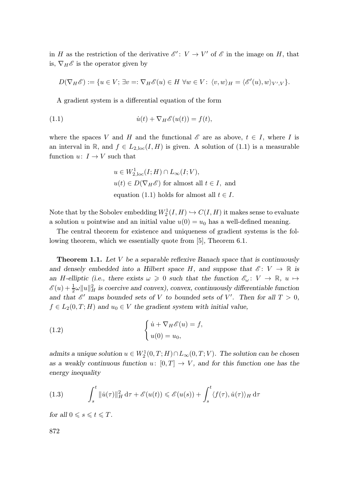in H as the restriction of the derivative  $\mathscr{E}'$ :  $V \to V'$  of  $\mathscr{E}$  in the image on H, that is,  $\nabla_H \mathscr{E}$  is the operator given by

$$
D(\nabla_H \mathscr{E}) := \{ u \in V; \exists v =: \nabla_H \mathscr{E}(u) \in H \,\,\forall w \in V; \,\,\langle v, w \rangle_H = \langle \mathscr{E}'(u), w \rangle_{V',V} \}.
$$

A gradient system is a differential equation of the form

(1.1) 
$$
\dot{u}(t) + \nabla_H \mathscr{E}(u(t)) = f(t),
$$

where the spaces V and H and the functional  $\mathscr E$  are as above,  $t \in I$ , where I is an interval in R, and  $f \in L_{2,loc}(I, H)$  is given. A solution of (1.1) is a measurable function  $u\colon\thinspace I\to V$  such that

$$
u \in W_{2,loc}^1(I;H) \cap L_{\infty}(I;V),
$$
  
 
$$
u(t) \in D(\nabla_H \mathscr{E}) \text{ for almost all } t \in I, \text{ and}
$$
  
 equation (1.1) holds for almost all  $t \in I$ .

Note that by the Sobolev embedding  $W_2^1(I, H) \hookrightarrow C(I, H)$  it makes sense to evaluate a solution u pointwise and an initial value  $u(0) = u_0$  has a well-defined meaning.

The central theorem for existence and uniqueness of gradient systems is the following theorem, which we essentially quote from [5], Theorem 6.1.

**Theorem 1.1.** Let  $V$  be a separable reflexive Banach space that is continuously and densely embedded into a Hilbert space H, and suppose that  $\mathscr{E} \colon V \to \mathbb{R}$  is an H-elliptic (i.e., there exists  $\omega \geq 0$  such that the function  $\mathscr{E}_{\omega} \colon V \to \mathbb{R}, u \mapsto$  $\mathscr{E}(u) + \frac{1}{2}\omega \|u\|_H^2$  is coercive and convex), convex, continuously differentiable function and that  $\mathscr{E}'$  maps bounded sets of V to bounded sets of V'. Then for all  $T > 0$ ,  $f \in L_2(0,T;H)$  and  $u_0 \in V$  the gradient system with initial value,

(1.2) 
$$
\begin{cases} \dot{u} + \nabla_H \mathscr{E}(u) = f, \\ u(0) = u_0, \end{cases}
$$

admits a unique solution  $u \in W_2^1(0,T;H) \cap L_\infty(0,T;V)$ . The solution can be chosen as a weakly continuous function  $u: [0, T] \to V$ , and for this function one has the energy inequality

(1.3) 
$$
\int_{s}^{t} \|\dot{u}(\tau)\|_{H}^{2} d\tau + \mathscr{E}(u(t)) \leq \mathscr{E}(u(s)) + \int_{s}^{t} \langle f(\tau), \dot{u}(\tau) \rangle_{H} d\tau
$$

for all  $0 \leqslant s \leqslant t \leqslant T$ .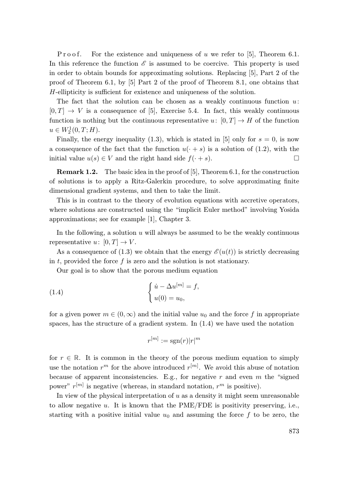P r o o f. For the existence and uniqueness of u we refer to [5], Theorem 6.1. In this reference the function  $\mathscr E$  is assumed to be coercive. This property is used in order to obtain bounds for approximating solutions. Replacing [5], Part 2 of the proof of Theorem 6.1, by [5] Part 2 of the proof of Theorem 8.1, one obtains that H-ellipticity is sufficient for existence and uniqueness of the solution.

The fact that the solution can be chosen as a weakly continuous function  $u$ :  $[0, T] \rightarrow V$  is a consequence of [5], Exercise 5.4. In fact, this weakly continuous function is nothing but the continuous representative u:  $[0, T] \rightarrow H$  of the function  $u \in W_2^1(0,T;H).$ 

Finally, the energy inequality (1.3), which is stated in [5] only for  $s = 0$ , is now a consequence of the fact that the function  $u(\cdot + s)$  is a solution of (1.2), with the initial value  $u(s) \in V$  and the right hand side  $f(\cdot + s)$ .

Remark 1.2. The basic idea in the proof of [5], Theorem 6.1, for the construction of solutions is to apply a Ritz-Galerkin procedure, to solve approximating finite dimensional gradient systems, and then to take the limit.

This is in contrast to the theory of evolution equations with accretive operators, where solutions are constructed using the "implicit Euler method" involving Yosida approximations; see for example [1], Chapter 3.

In the following, a solution  $u$  will always be assumed to be the weakly continuous representative  $u: [0, T] \to V$ .

As a consequence of (1.3) we obtain that the energy  $\mathscr{E}(u(t))$  is strictly decreasing in t, provided the force  $f$  is zero and the solution is not stationary.

Our goal is to show that the porous medium equation

(1.4) 
$$
\begin{cases} \dot{u} - \Delta u^{[m]} = f, \\ u(0) = u_0, \end{cases}
$$

for a given power  $m \in (0, \infty)$  and the initial value  $u_0$  and the force f in appropriate spaces, has the structure of a gradient system. In  $(1.4)$  we have used the notation

$$
r^{[m]} := \operatorname{sgn}(r)|r|^m
$$

for  $r \in \mathbb{R}$ . It is common in the theory of the porous medium equation to simply use the notation  $r^m$  for the above introduced  $r^{[m]}$ . We avoid this abuse of notation because of apparent inconsistencies. E.g., for negative  $r$  and even  $m$  the "signed" power"  $r^{[m]}$  is negative (whereas, in standard notation,  $r^m$  is positive).

In view of the physical interpretation of  $u$  as a density it might seem unreasonable to allow negative  $u$ . It is known that the PME/FDE is positivity preserving, i.e., starting with a positive initial value  $u_0$  and assuming the force f to be zero, the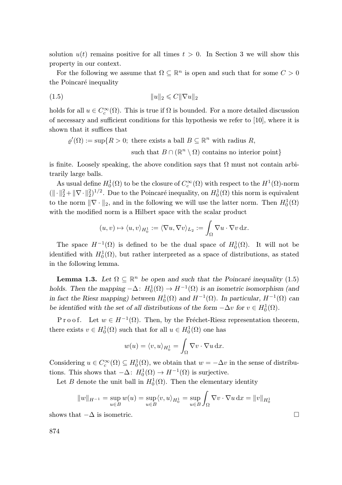solution  $u(t)$  remains positive for all times  $t > 0$ . In Section 3 we will show this property in our context.

For the following we assume that  $\Omega \subseteq \mathbb{R}^n$  is open and such that for some  $C > 0$ the Poincaré inequality

(1.5) kuk<sup>2</sup> 6 Ck∇uk<sup>2</sup>

holds for all  $u \in C_c^{\infty}(\Omega)$ . This is true if  $\Omega$  is bounded. For a more detailed discussion of necessary and sufficient conditions for this hypothesis we refer to [10], where it is shown that it suffices that

$$
\varrho'(\Omega) := \sup\{R > 0; \text{ there exists a ball } B \subseteq \mathbb{R}^n \text{ with radius } R,
$$
  
such that  $B \cap (\mathbb{R}^n \setminus \Omega)$  contains no interior point}

is finite. Loosely speaking, the above condition says that  $\Omega$  must not contain arbitrarily large balls.

As usual define  $H_0^1(\Omega)$  to be the closure of  $C_c^{\infty}(\Omega)$  with respect to the  $H^1(\Omega)$ -norm  $(\|\cdot\|_2^2 + \|\nabla \cdot \|_2^2)^{1/2}$ . Due to the Poincaré inequality, on  $H_0^1(\Omega)$  this norm is equivalent to the norm  $\|\nabla \cdot \|_2$ , and in the following we will use the latter norm. Then  $H_0^1(\Omega)$ with the modified norm is a Hilbert space with the scalar product

$$
(u,v) \mapsto \langle u, v \rangle_{H_0^1} := \langle \nabla u, \nabla v \rangle_{L_2} := \int_{\Omega} \nabla u \cdot \nabla v \, dx.
$$

The space  $H^{-1}(\Omega)$  is defined to be the dual space of  $H_0^1(\Omega)$ . It will not be identified with  $H_0^1(\Omega)$ , but rather interpreted as a space of distributions, as stated in the following lemma.

**Lemma 1.3.** Let  $\Omega \subseteq \mathbb{R}^n$  be open and such that the Poincaré inequality (1.5) holds. Then the mapping  $-\Delta$ :  $H_0^1(\Omega) \to H^{-1}(\Omega)$  is an isometric isomorphism (and in fact the Riesz mapping) between  $H_0^1(\Omega)$  and  $H^{-1}(\Omega)$ . In particular,  $H^{-1}(\Omega)$  can be identified with the set of all distributions of the form  $-\Delta v$  for  $v \in H_0^1(\Omega)$ .

P r o o f. Let  $w \in H^{-1}(\Omega)$ . Then, by the Fréchet-Riesz representation theorem, there exists  $v \in H_0^1(\Omega)$  such that for all  $u \in H_0^1(\Omega)$  one has

$$
w(u) = \langle v, u \rangle_{H_0^1} = \int_{\Omega} \nabla v \cdot \nabla u \, dx.
$$

Considering  $u \in C_c^{\infty}(\Omega) \subseteq H_0^1(\Omega)$ , we obtain that  $w = -\Delta v$  in the sense of distributions. This shows that  $-\Delta: H_0^1(\Omega) \to H^{-1}(\Omega)$  is surjective.

Let B denote the unit ball in  $H_0^1(\Omega)$ . Then the elementary identity

$$
||w||_{H^{-1}} = \sup_{u \in B} w(u) = \sup_{u \in B} \langle v, u \rangle_{H_0^1} = \sup_{u \in B} \int_{\Omega} \nabla v \cdot \nabla u \,dx = ||v||_{H_0^1}
$$

shows that  $-\Delta$  is isometric.

874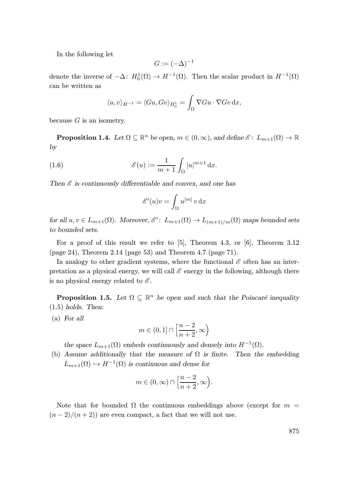In the following let

$$
G:=(-\Delta)^{-1}
$$

denote the inverse of  $-\Delta$ :  $H_0^1(\Omega) \to H^{-1}(\Omega)$ . Then the scalar product in  $H^{-1}(\Omega)$ can be written as

$$
\langle u, v \rangle_{H^{-1}} = \langle Gu, Gv \rangle_{H_0^1} = \int_{\Omega} \nabla G u \cdot \nabla G v \,dx,
$$

because  $G$  is an isometry.

**Proposition 1.4.** Let  $\Omega \subseteq \mathbb{R}^n$  be open,  $m \in (0, \infty)$ , and define  $\mathscr{E} \colon L_{m+1}(\Omega) \to \mathbb{R}$ by

(1.6) 
$$
\mathscr{E}(u) := \frac{1}{m+1} \int_{\Omega} |u|^{m+1} dx.
$$

Then  $\mathscr E$  is continuously differentiable and convex, and one has

$$
\mathscr{E}'(u)v = \int_{\Omega} u^{[m]} \, v \, \mathrm{d}x
$$

for all  $u, v \in L_{m+1}(\Omega)$ . Moreover,  $\mathscr{E}'$ :  $L_{m+1}(\Omega) \to L_{(m+1)/m}(\Omega)$  maps bounded sets to bounded sets.

For a proof of this result we refer to  $[5]$ , Theorem 4.3, or  $[6]$ , Theorem 3.12 (page 24), Theorem 2.14 (page 53) and Theorem 4.7 (page 71).

In analogy to other gradient systems, where the functional  $\mathscr E$  often has an interpretation as a physical energy, we will call  $\mathscr E$  energy in the following, although there is no physical energy related to  $\mathscr E$ .

**Proposition 1.5.** Let  $\Omega \subseteq \mathbb{R}^n$  be open and such that the Poincaré inequality  $(1.5)$  holds. Then:

(a) For all

$$
m\in(0,1]\cap\left[\frac{n-2}{n+2},\infty\right)
$$

the space  $L_{m+1}(\Omega)$  embeds continuously and densely into  $H^{-1}(\Omega)$ .

(b) Assume additionally that the measure of  $\Omega$  is finite. Then the embedding  $L_{m+1}(\Omega) \hookrightarrow H^{-1}(\Omega)$  is continuous and dense for

$$
m\in(0,\infty)\cap\left[\frac{n-2}{n+2},\infty\right).
$$

Note that for bounded  $\Omega$  the continuous embeddings above (except for  $m =$  $(n-2)/(n+2)$  are even compact, a fact that we will not use.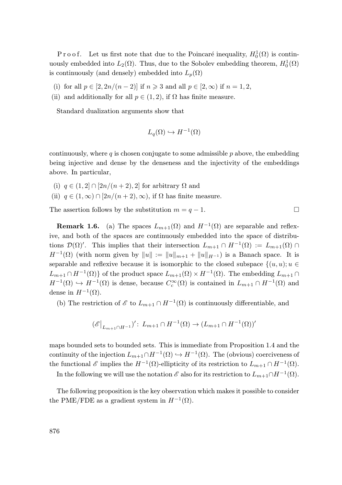P r o o f. Let us first note that due to the Poincaré inequality,  $H_0^1(\Omega)$  is continuously embedded into  $L_2(\Omega)$ . Thus, due to the Sobolev embedding theorem,  $H_0^1(\Omega)$ is continuously (and densely) embedded into  $L_p(\Omega)$ 

- (i) for all  $p \in [2, 2n/(n-2)]$  if  $n \ge 3$  and all  $p \in [2, \infty)$  if  $n = 1, 2$ ,
- (ii) and additionally for all  $p \in (1, 2)$ , if  $\Omega$  has finite measure.

Standard dualization arguments show that

$$
L_q(\Omega) \hookrightarrow H^{-1}(\Omega)
$$

continuously, where  $q$  is chosen conjugate to some admissible  $p$  above, the embedding being injective and dense by the denseness and the injectivity of the embeddings above. In particular,

- (i)  $q \in (1, 2] \cap [2n/(n+2), 2]$  for arbitrary  $\Omega$  and
- (ii)  $q \in (1,\infty) \cap [2n/(n+2),\infty)$ , if  $\Omega$  has finite measure.

The assertion follows by the substitution  $m = q - 1$ .

**Remark 1.6.** (a) The spaces  $L_{m+1}(\Omega)$  and  $H^{-1}(\Omega)$  are separable and reflexive, and both of the spaces are continuously embedded into the space of distributions  $\mathcal{D}(\Omega)'$ . This implies that their intersection  $L_{m+1} \cap H^{-1}(\Omega) := L_{m+1}(\Omega) \cap$  $H^{-1}(\Omega)$  (with norm given by  $||u|| := ||u||_{m+1} + ||u||_{H^{-1}}$ ) is a Banach space. It is separable and reflexive because it is isomorphic to the closed subspace  $\{(u, u); u \in$  $L_{m+1} \cap H^{-1}(\Omega)$  of the product space  $L_{m+1}(\Omega) \times H^{-1}(\Omega)$ . The embedding  $L_{m+1} \cap$  $H^{-1}(\Omega) \hookrightarrow H^{-1}(\Omega)$  is dense, because  $C_c^{\infty}(\Omega)$  is contained in  $L_{m+1} \cap H^{-1}(\Omega)$  and dense in  $H^{-1}(\Omega)$ .

(b) The restriction of  $\mathscr E$  to  $L_{m+1}\cap H^{-1}(\Omega)$  is continuously differentiable, and

$$
(\mathscr{E}|_{L_{m+1}\cap H^{-1}})' \colon L_{m+1}\cap H^{-1}(\Omega) \to (L_{m+1}\cap H^{-1}(\Omega))'
$$

maps bounded sets to bounded sets. This is immediate from Proposition 1.4 and the continuity of the injection  $L_{m+1} \cap H^{-1}(\Omega) \hookrightarrow H^{-1}(\Omega)$ . The (obvious) coerciveness of the functional  $\mathscr E$  implies the  $H^{-1}(\Omega)$ -ellipticity of its restriction to  $L_{m+1} \cap H^{-1}(\Omega)$ .

In the following we will use the notation  $\mathscr E$  also for its restriction to  $L_{m+1} \cap H^{-1}(\Omega)$ .

The following proposition is the key observation which makes it possible to consider the PME/FDE as a gradient system in  $H^{-1}(\Omega)$ .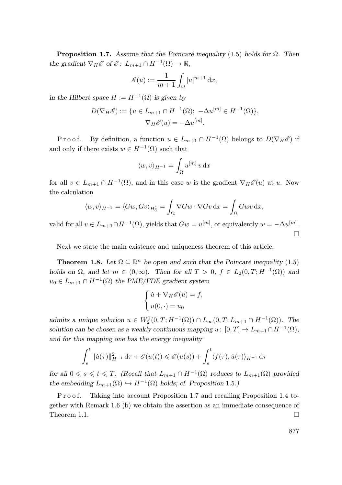**Proposition 1.7.** Assume that the Poincaré inequality (1.5) holds for  $\Omega$ . Then the gradient  $\nabla_H \mathscr{E}$  of  $\mathscr{E}$ :  $L_{m+1} \cap H^{-1}(\Omega) \to \mathbb{R}$ ,

$$
\mathscr{E}(u) := \frac{1}{m+1} \int_{\Omega} |u|^{m+1} \, \mathrm{d}x,
$$

in the Hilbert space  $H := H^{-1}(\Omega)$  is given by

$$
D(\nabla_H \mathscr{E}) := \{ u \in L_{m+1} \cap H^{-1}(\Omega); \ -\Delta u^{[m]} \in H^{-1}(\Omega) \},
$$
  

$$
\nabla_H \mathscr{E}(u) = -\Delta u^{[m]}.
$$

P r o o f. By definition, a function  $u \in L_{m+1} \cap H^{-1}(\Omega)$  belongs to  $D(\nabla_H \mathscr{E})$  if and only if there exists  $w \in H^{-1}(\Omega)$  such that

$$
\langle w, v \rangle_{H^{-1}} = \int_{\Omega} u^{[m]} v \, \mathrm{d}x
$$

for all  $v \in L_{m+1} \cap H^{-1}(\Omega)$ , and in this case w is the gradient  $\nabla_H \mathscr{E}(u)$  at u. Now the calculation

$$
\langle w, v \rangle_{H^{-1}} = \langle Gw, Gv \rangle_{H_0^1} = \int_{\Omega} \nabla Gw \cdot \nabla Gv \,dx = \int_{\Omega} Gwv \,dx,
$$

valid for all  $v \in L_{m+1} \cap H^{-1}(\Omega)$ , yields that  $Gw = u^{[m]}$ , or equivalently  $w = -\Delta u^{[m]}$ .  $\Box$ 

Next we state the main existence and uniqueness theorem of this article.

**Theorem 1.8.** Let  $\Omega \subseteq \mathbb{R}^n$  be open and such that the Poincaré inequality (1.5) holds on  $\Omega$ , and let  $m \in (0, \infty)$ . Then for all  $T > 0$ ,  $f \in L_2(0, T; H^{-1}(\Omega))$  and  $u_0 \in L_{m+1} \cap H^{-1}(\Omega)$  the PME/FDE gradient system

$$
\begin{cases} \dot{u} + \nabla_H \mathscr{E}(u) = f, \\ u(0, \cdot) = u_0 \end{cases}
$$

admits a unique solution  $u \in W_2^1(0,T;H^{-1}(\Omega)) \cap L_\infty(0,T;L_{m+1} \cap H^{-1}(\Omega))$ . The solution can be chosen as a weakly continuous mapping  $u: [0, T] \to L_{m+1} \cap H^{-1}(\Omega)$ , and for this mapping one has the energy inequality

$$
\int_{s}^{t} \|\dot{u}(\tau)\|_{H^{-1}}^{2} d\tau + \mathscr{E}(u(t)) \leq \mathscr{E}(u(s)) + \int_{s}^{t} \langle f(\tau), \dot{u}(\tau) \rangle_{H^{-1}} d\tau
$$

for all  $0 \le s \le t \le T$ . (Recall that  $L_{m+1} \cap H^{-1}(\Omega)$  reduces to  $L_{m+1}(\Omega)$  provided the embedding  $L_{m+1}(\Omega) \hookrightarrow H^{-1}(\Omega)$  holds; cf. Proposition 1.5.)

P r o o f. Taking into account Proposition 1.7 and recalling Proposition 1.4 together with Remark 1.6 (b) we obtain the assertion as an immediate consequence of Theorem 1.1.  $\Box$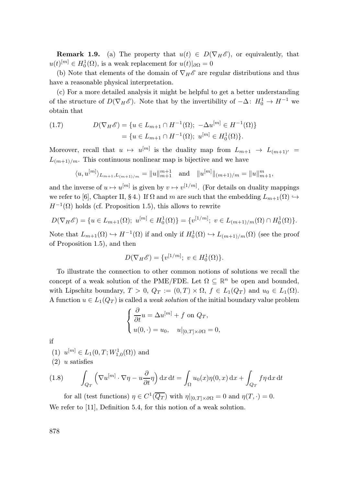**Remark 1.9.** (a) The property that  $u(t) \in D(\nabla_H \mathscr{E})$ , or equivalently, that  $u(t)^{[m]} \in H_0^1(\Omega)$ , is a weak replacement for  $u(t)|_{\partial\Omega} = 0$ 

(b) Note that elements of the domain of  $\nabla_H \mathscr{E}$  are regular distributions and thus have a reasonable physical interpretation.

(c) For a more detailed analysis it might be helpful to get a better understanding of the structure of  $D(\nabla_H \mathscr{E})$ . Note that by the invertibility of  $-\Delta: H_0^1 \to H^{-1}$  we obtain that

(1.7) 
$$
D(\nabla_H \mathscr{E}) = \{ u \in L_{m+1} \cap H^{-1}(\Omega); -\Delta u^{[m]} \in H^{-1}(\Omega) \} = \{ u \in L_{m+1} \cap H^{-1}(\Omega); u^{[m]} \in H_0^1(\Omega) \}.
$$

Moreover, recall that  $u \mapsto u^{[m]}$  is the duality map from  $L_{m+1} \to L_{(m+1)^{'} } =$  $L_{(m+1)/m}$ . This continuous nonlinear map is bijective and we have

$$
\langle u, u^{[m]} \rangle_{L_{m+1}, L_{(m+1)/m}} = ||u||_{m+1}^{m+1}
$$
 and  $||u^{[m]}||_{(m+1)/m} = ||u||_{m+1}^{m}$ ,

and the inverse of  $u \mapsto u^{[m]}$  is given by  $v \mapsto v^{[1/m]}$ . (For details on duality mappings we refer to [6], Chapter II, § 4.) If  $\Omega$  and m are such that the embedding  $L_{m+1}(\Omega) \hookrightarrow$  $H^{-1}(\Omega)$  holds (cf. Proposition 1.5), this allows to rewrite

$$
D(\nabla_H \mathscr{E}) = \{ u \in L_{m+1}(\Omega); \ u^{[m]} \in H_0^1(\Omega) \} = \{ v^{[1/m]}; \ v \in L_{(m+1)/m}(\Omega) \cap H_0^1(\Omega) \}.
$$

Note that  $L_{m+1}(\Omega) \hookrightarrow H^{-1}(\Omega)$  if and only if  $H_0^1(\Omega) \hookrightarrow L_{(m+1)/m}(\Omega)$  (see the proof of Proposition 1.5), and then

$$
D(\nabla_H \mathscr{E}) = \{v^{[1/m]}; \ v \in H_0^1(\Omega)\}.
$$

To illustrate the connection to other common notions of solutions we recall the concept of a weak solution of the PME/FDE. Let  $\Omega \subseteq \mathbb{R}^n$  be open and bounded, with Lipschitz boundary,  $T > 0$ ,  $Q_T := (0,T) \times \Omega$ ,  $f \in L_1(Q_T)$  and  $u_0 \in L_1(\Omega)$ . A function  $u \in L_1(Q_T)$  is called a *weak solution* of the initial boundary value problem

$$
\begin{cases} \frac{\partial}{\partial t}u = \Delta u^{[m]} + f \text{ on } Q_T, \\ u(0, \cdot) = u_0, \quad u|_{[0,T] \times \partial \Omega} = 0, \end{cases}
$$

if

(1)  $u^{[m]} \in L_1(0,T;W^1_{1,0}(\Omega))$  and

 $(2)$  u satisfies

(1.8) 
$$
\int_{Q_T} \left( \nabla u^{[m]} \cdot \nabla \eta - u \frac{\partial}{\partial t} \eta \right) dx dt = \int_{\Omega} u_0(x) \eta(0, x) dx + \int_{Q_T} f \eta dx dt
$$

for all (test functions)  $\eta \in C^1(\overline{Q_T})$  with  $\eta|_{[0,T]\times\partial\Omega} = 0$  and  $\eta(T, \cdot) = 0$ . We refer to [11], Definition 5.4, for this notion of a weak solution.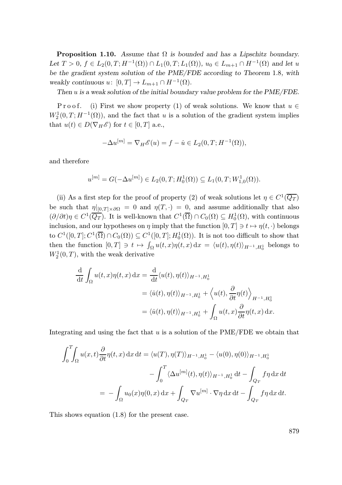**Proposition 1.10.** Assume that  $\Omega$  is bounded and has a Lipschitz boundary. Let  $T > 0$ ,  $f \in L_2(0,T; H^{-1}(\Omega)) \cap L_1(0,T; L_1(\Omega))$ ,  $u_0 \in L_{m+1} \cap H^{-1}(\Omega)$  and let u be the gradient system solution of the PME/FDE according to Theorem 1.8, with weakly continuous  $u: [0, T] \to L_{m+1} \cap H^{-1}(\Omega)$ .

Then u is a weak solution of the initial boundary value problem for the PME/FDE.

P r o o f. (i) First we show property (1) of weak solutions. We know that  $u \in$  $W_2^1(0,T;H^{-1}(\Omega))$ , and the fact that u is a solution of the gradient system implies that  $u(t) \in D(\nabla_H \mathscr{E})$  for  $t \in [0, T]$  a.e.,

$$
-\Delta u^{[m]} = \nabla_H \mathscr{E}(u) = f - \dot{u} \in L_2(0, T; H^{-1}(\Omega)),
$$

and therefore

$$
u^{[m]} = G(-\Delta u^{[m]}) \in L_2(0, T; H_0^1(\Omega)) \subseteq L_1(0, T; W_{1,0}^1(\Omega)).
$$

(ii) As a first step for the proof of property (2) of weak solutions let  $\eta \in C^1(\overline{Q_T})$ be such that  $\eta|_{[0,T]\times\partial\Omega} = 0$  and  $\eta(T,\cdot) = 0$ , and assume additionally that also  $(\partial/\partial t)\eta \in C^1(\overline{Q_T})$ . It is well-known that  $C^1(\overline{\Omega}) \cap C_0(\Omega) \subseteq H_0^1(\Omega)$ , with continuous inclusion, and our hypotheses on  $\eta$  imply that the function  $[0, T] \ni t \mapsto \eta(t, \cdot)$  belongs to  $C^1([0,T];C^1(\overline{\Omega})\cap C_0(\Omega))\subseteq C^1([0,T];H_0^1(\Omega))$ . It is not too difficult to show that then the function  $[0,T] \ni t \mapsto \int_{\Omega} u(t,x)\eta(t,x) dx = \langle u(t), \eta(t) \rangle_{H^{-1},H_0^1}$  belongs to  $W_2^1(0,T)$ , with the weak derivative

$$
\frac{\mathrm{d}}{\mathrm{d}t} \int_{\Omega} u(t,x)\eta(t,x) \,\mathrm{d}x = \frac{\mathrm{d}}{\mathrm{d}t} \langle u(t), \eta(t) \rangle_{H^{-1}, H_0^1}
$$
\n
$$
= \langle \dot{u}(t), \eta(t) \rangle_{H^{-1}, H_0^1} + \langle u(t), \frac{\partial}{\partial t} \eta(t) \rangle_{H^{-1}, H_0^1}
$$
\n
$$
= \langle \dot{u}(t), \eta(t) \rangle_{H^{-1}, H_0^1} + \int_{\Omega} u(t,x) \frac{\partial}{\partial t} \eta(t,x) \,\mathrm{d}x.
$$

Integrating and using the fact that  $u$  is a solution of the PME/FDE we obtain that

$$
\int_0^T \int_{\Omega} u(x,t) \frac{\partial}{\partial t} \eta(t,x) dx dt = \langle u(T), \eta(T) \rangle_{H^{-1}, H_0^1} - \langle u(0), \eta(0) \rangle_{H^{-1}, H_0^1}
$$

$$
- \int_0^T \langle \Delta u^{[m]}(t), \eta(t) \rangle_{H^{-1}, H_0^1} dt - \int_{Q_T} f \eta dx dt
$$

$$
= - \int_{\Omega} u_0(x) \eta(0,x) dx + \int_{Q_T} \nabla u^{[m]} \cdot \nabla \eta dx dt - \int_{Q_T} f \eta dx dt.
$$

This shows equation (1.8) for the present case.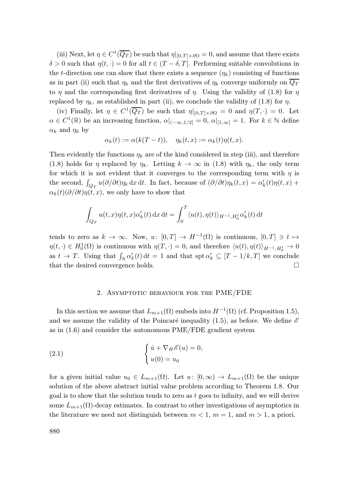(iii) Next, let  $\eta \in C^1(\overline{Q_T})$  be such that  $\eta|_{[0,T]\times\partial\Omega} = 0$ , and assume that there exists  $\delta > 0$  such that  $\eta(t, \cdot) = 0$  for all  $t \in (T - \delta, T]$ . Performing suitable convolutions in the t-direction one can show that there exists a sequence  $(\eta_k)$  consisting of functions as in part (ii) such that  $\eta_k$  and the first derivatives of  $\eta_k$  converge uniformly on  $\overline{Q_T}$ to  $\eta$  and the corresponding first derivatives of  $\eta$ . Using the validity of (1.8) for  $\eta$ replaced by  $\eta_k$ , as established in part (ii), we conclude the validity of (1.8) for  $\eta$ .

(iv) Finally, let  $\eta \in C^1(\overline{Q_T})$  be such that  $\eta|_{[0,T]\times\partial\Omega} = 0$  and  $\eta(T, \cdot) = 0$ . Let  $\alpha \in C^1(\mathbb{R})$  be an increasing function,  $\alpha|_{(-\infty,1/2]} = 0$ ,  $\alpha|_{[1,\infty]} = 1$ . For  $k \in \mathbb{N}$  define  $\alpha_k$  and  $\eta_k$  by

$$
\alpha_k(t) := \alpha(k(T-t)), \quad \eta_k(t,x) := \alpha_k(t)\eta(t,x).
$$

Then evidently the functions  $\eta_k$  are of the kind considered in step (iii), and therefore (1.8) holds for  $\eta$  replaced by  $\eta_k$ . Letting  $k \to \infty$  in (1.8) with  $\eta_k$ , the only term for which it is not evident that it converges to the corresponding term with  $\eta$  is the second,  $\int_{Q_T} u(\partial/\partial t)\eta_k \,dx\,dt$ . In fact, because of  $(\partial/\partial t)\eta_k(t,x) = \alpha'_k(t)\eta(t,x) +$  $\alpha_k(t) \left(\frac{\partial}{\partial t}\right) \eta(t, x)$ , we only have to show that

$$
\int_{Q_T} u(t,x)\eta(t,x)\alpha'_k(t) dx dt = \int_0^T \langle u(t), \eta(t) \rangle_{H^{-1},H_0^1} \alpha'_k(t) dt
$$

tends to zero as  $k \to \infty$ . Now,  $u: [0,T] \to H^{-1}(\Omega)$  is continuous,  $[0,T] \ni t \mapsto$  $\eta(t, \cdot) \in H_0^1(\Omega)$  is continuous with  $\eta(T, \cdot) = 0$ , and therefore  $\langle u(t), \eta(t) \rangle_{H^{-1}, H_0^1} \to 0$ as  $t \to T$ . Using that  $\int_{\mathbb{R}} \alpha'_k(t) dt = 1$  and that  $\text{spt } \alpha'_k \subseteq [T - 1/k, T]$  we conclude that the desired convergence holds.

#### 2. Asymptotic behaviour for the PME/FDE

In this section we assume that  $L_{m+1}(\Omega)$  embeds into  $H^{-1}(\Omega)$  (cf. Proposition 1.5), and we assume the validity of the Poincaré inequality (1.5), as before. We define  $\mathscr E$ as in (1.6) and consider the autonomous PME/FDE gradient system

(2.1) 
$$
\begin{cases} \dot{u} + \nabla_H \mathscr{E}(u) = 0, \\ u(0) = u_0 \end{cases}
$$

for a given initial value  $u_0 \in L_{m+1}(\Omega)$ . Let  $u: [0,\infty) \to L_{m+1}(\Omega)$  be the unique solution of the above abstract initial value problem according to Theorem 1.8. Our goal is to show that the solution tends to zero as  $t$  goes to infinity, and we will derive some  $L_{m+1}(\Omega)$ -decay estimates. In contrast to other investigations of asymptotics in the literature we need not distinguish between  $m < 1$ ,  $m = 1$ , and  $m > 1$ , a priori.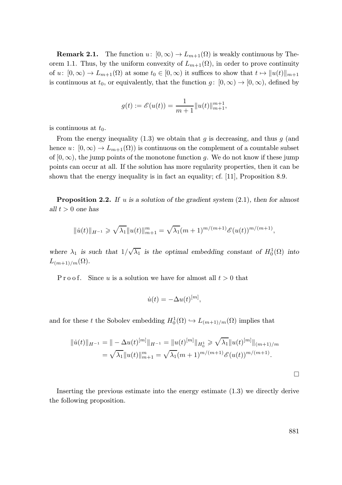**Remark 2.1.** The function  $u: [0, \infty) \to L_{m+1}(\Omega)$  is weakly continuous by Theorem 1.1. Thus, by the uniform convexity of  $L_{m+1}(\Omega)$ , in order to prove continuity of  $u: [0, \infty) \to L_{m+1}(\Omega)$  at some  $t_0 \in [0, \infty)$  it suffices to show that  $t \mapsto ||u(t)||_{m+1}$ is continuous at  $t_0$ , or equivalently, that the function  $g: [0, \infty) \to [0, \infty)$ , defined by

$$
g(t):=\mathscr{E}(u(t))=\frac{1}{m+1}\|u(t)\|_{m+1}^{m+1},
$$

is continuous at  $t_0$ .

From the energy inequality (1.3) we obtain that g is decreasing, and thus  $g$  (and hence  $u: [0, \infty) \to L_{m+1}(\Omega)$  is continuous on the complement of a countable subset of  $[0, \infty)$ , the jump points of the monotone function g. We do not know if these jump points can occur at all. If the solution has more regularity properties, then it can be shown that the energy inequality is in fact an equality; cf. [11], Proposition 8.9.

**Proposition 2.2.** If u is a solution of the gradient system  $(2.1)$ , then for almost all  $t > 0$  one has

$$
\|\dot{u}(t)\|_{H^{-1}} \geqslant \sqrt{\lambda_1} \|u(t)\|_{m+1}^m = \sqrt{\lambda_1} (m+1)^{m/(m+1)} \mathcal{E}(u(t))^{m/(m+1)},
$$

where  $\lambda_1$  is such that  $1/\sqrt{\lambda_1}$  is the optimal embedding constant of  $H_0^1(\Omega)$  into  $L_{(m+1)/m}(\Omega)$ .

P r o o f. Since u is a solution we have for almost all  $t > 0$  that

$$
\dot{u}(t) = -\Delta u(t)^{[m]},
$$

and for these t the Sobolev embedding  $H_0^1(\Omega) \hookrightarrow L_{(m+1)/m}(\Omega)$  implies that

$$
||\dot{u}(t)||_{H^{-1}} = || - \Delta u(t)^{[m]}||_{H^{-1}} = ||u(t)^{[m]}||_{H_0^1} \ge \sqrt{\lambda_1} ||u(t)^{[m]}||_{(m+1)/m}
$$
  
=  $\sqrt{\lambda_1} ||u(t)||_{m+1}^m = \sqrt{\lambda_1} (m+1)^{m/(m+1)} \mathcal{E}(u(t))^{m/(m+1)}.$ 

 $\Box$ 

Inserting the previous estimate into the energy estimate (1.3) we directly derive the following proposition.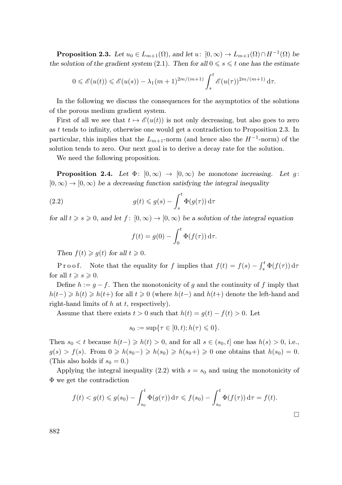**Proposition 2.3.** Let  $u_0 \in L_{m+1}(\Omega)$ , and let  $u: [0, \infty) \to L_{m+1}(\Omega) \cap H^{-1}(\Omega)$  be the solution of the gradient system (2.1). Then for all  $0 \le s \le t$  one has the estimate

$$
0 \leq \mathcal{E}(u(t)) \leq \mathcal{E}(u(s)) - \lambda_1 (m+1)^{2m/(m+1)} \int_s^t \mathcal{E}(u(\tau))^{2m/(m+1)} d\tau.
$$

In the following we discuss the consequences for the asymptotics of the solutions of the porous medium gradient system.

First of all we see that  $t \mapsto \mathscr{E}(u(t))$  is not only decreasing, but also goes to zero as t tends to infinity, otherwise one would get a contradiction to Proposition 2.3. In particular, this implies that the  $L_{m+1}$ -norm (and hence also the  $H^{-1}$ -norm) of the solution tends to zero. Our next goal is to derive a decay rate for the solution.

We need the following proposition.

**Proposition 2.4.** Let  $\Phi: [0, \infty) \to [0, \infty)$  be monotone increasing. Let g:  $[0, \infty) \rightarrow [0, \infty)$  be a decreasing function satisfying the integral inequality

(2.2) 
$$
g(t) \leq g(s) - \int_s^t \Phi(g(\tau)) d\tau
$$

for all  $t \ge s \ge 0$ , and let  $f: [0, \infty) \to [0, \infty)$  be a solution of the integral equation

$$
f(t) = g(0) - \int_0^t \Phi(f(\tau)) d\tau.
$$

Then  $f(t) \geq g(t)$  for all  $t \geq 0$ .

P r o o f. Note that the equality for f implies that  $f(t) = f(s) - \int_s^t \Phi(f(\tau)) d\tau$ for all  $t \geqslant s \geqslant 0$ .

Define  $h := g - f$ . Then the monotonicity of g and the continuity of f imply that  $h(t-) \geq h(t) \geq h(t+)$  for all  $t \geq 0$  (where  $h(t-)$  and  $h(t+)$  denote the left-hand and right-hand limits of  $h$  at  $t$ , respectively).

Assume that there exists  $t > 0$  such that  $h(t) = g(t) - f(t) > 0$ . Let

$$
s_0 := \sup \{ \tau \in [0, t); h(\tau) \leq 0 \}.
$$

Then  $s_0 < t$  because  $h(t-) \geq h(t) > 0$ , and for all  $s \in (s_0, t]$  one has  $h(s) > 0$ , i.e.,  $g(s) > f(s)$ . From  $0 \ge h(s_0-) \ge h(s_0) \ge h(s_0+) \ge 0$  one obtains that  $h(s_0) = 0$ . (This also holds if  $s_0 = 0$ .)

Applying the integral inequality (2.2) with  $s = s_0$  and using the monotonicity of Φ we get the contradiction

$$
f(t) < g(t) \leq g(s_0) - \int_{s_0}^t \Phi(g(\tau)) d\tau \leq f(s_0) - \int_{s_0}^t \Phi(f(\tau)) d\tau = f(t).
$$

 $\Box$ 

882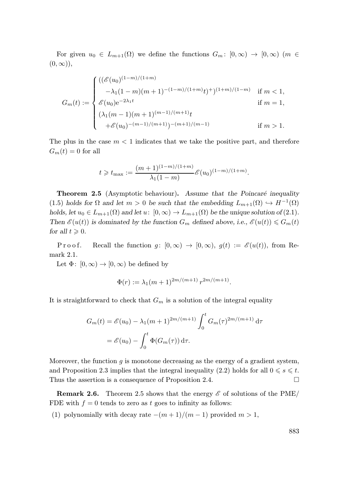For given  $u_0 \in L_{m+1}(\Omega)$  we define the functions  $G_m: [0,\infty) \to [0,\infty)$   $(m \in$  $(0, \infty)$ ,

$$
G_m(t):=\begin{cases}((\mathscr{E}(u_0)^{(1-m)/(1+m)}\quad \ \ \, \\ -\lambda_1(1-m)(m+1)^{-(1-m)/(1+m)}t)^{+(1+m)/(1-m)}\quad \text{if } m<1,\\ \mathscr{E}(u_0)\mathrm{e}^{-2\lambda_1 t} \qquad \qquad \text{if } m=1,\\ (\lambda_1(m-1)(m+1)^{(m-1)/(m+1)}t\\qquad \qquad +\mathscr{E}(u_0)^{-(m-1)/(m+1)})^{-(m+1)/(m-1)}\qquad \qquad \text{if } m>1.\end{cases}
$$

The plus in the case  $m < 1$  indicates that we take the positive part, and therefore  $G_m(t) = 0$  for all

$$
t \geq t_{\max} := \frac{(m+1)^{(1-m)/(1+m)}}{\lambda_1 (1-m)} \mathcal{E}(u_0)^{(1-m)/(1+m)}.
$$

**Theorem 2.5** (Asymptotic behaviour). Assume that the Poincaré inequality (1.5) holds for  $\Omega$  and let  $m > 0$  be such that the embedding  $L_{m+1}(\Omega) \hookrightarrow H^{-1}(\Omega)$ holds, let  $u_0 \in L_{m+1}(\Omega)$  and let  $u: [0, \infty) \to L_{m+1}(\Omega)$  be the unique solution of (2.1). Then  $\mathscr{E}(u(t))$  is dominated by the function  $G_m$  defined above, i.e.,  $\mathscr{E}(u(t)) \leq G_m(t)$ for all  $t \geqslant 0$ .

P r o o f. Recall the function  $g: [0, \infty) \to [0, \infty)$ ,  $g(t) := \mathscr{E}(u(t))$ , from Remark 2.1.

Let  $\Phi: [0, \infty) \to [0, \infty)$  be defined by

$$
\Phi(r) := \lambda_1 (m+1)^{2m/(m+1)} r^{2m/(m+1)}.
$$

It is straightforward to check that  $G_m$  is a solution of the integral equality

$$
G_m(t) = \mathcal{E}(u_0) - \lambda_1 (m+1)^{2m/(m+1)} \int_0^t G_m(\tau)^{2m/(m+1)} d\tau
$$
  
=  $\mathcal{E}(u_0) - \int_0^t \Phi(G_m(\tau)) d\tau.$ 

Moreover, the function  $q$  is monotone decreasing as the energy of a gradient system, and Proposition 2.3 implies that the integral inequality (2.2) holds for all  $0 \le s \le t$ . Thus the assertion is a consequence of Proposition 2.4.

**Remark 2.6.** Theorem 2.5 shows that the energy  $\mathscr E$  of solutions of the PME/ FDE with  $f = 0$  tends to zero as t goes to infinity as follows:

(1) polynomially with decay rate  $-(m+1)/(m-1)$  provided  $m > 1$ ,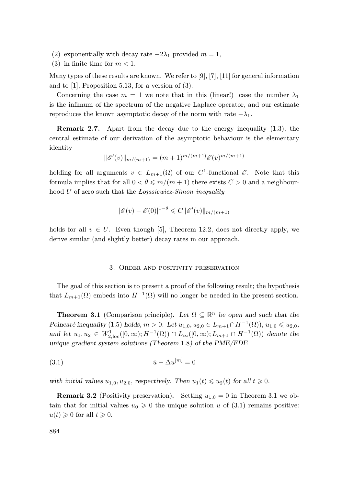- (2) exponentially with decay rate  $-2\lambda_1$  provided  $m=1$ ,
- (3) in finite time for  $m < 1$ .

Many types of these results are known. We refer to  $[9]$ ,  $[7]$ ,  $[11]$  for general information and to [1], Proposition 5.13, for a version of (3).

Concerning the case  $m = 1$  we note that in this (linear!) case the number  $\lambda_1$ is the infimum of the spectrum of the negative Laplace operator, and our estimate reproduces the known asymptotic decay of the norm with rate  $-\lambda_1$ .

Remark 2.7. Apart from the decay due to the energy inequality (1.3), the central estimate of our derivation of the asymptotic behaviour is the elementary identity

$$
\|\mathscr{E}'(v)\|_{m/(m+1)} = (m+1)^{m/(m+1)} \mathscr{E}(v)^{m/(m+1)}
$$

holding for all arguments  $v \in L_{m+1}(\Omega)$  of our  $C^1$ -functional  $\mathscr{E}$ . Note that this formula implies that for all  $0 < \theta \leq m/(m+1)$  there exists  $C > 0$  and a neighbourhood U of zero such that the Lojasiewicz-Simon inequality

$$
|\mathscr{E}(v) - \mathscr{E}(0)|^{1-\theta} \leq C ||\mathscr{E}'(v)||_{m/(m+1)}
$$

holds for all  $v \in U$ . Even though [5], Theorem 12.2, does not directly apply, we derive similar (and slightly better) decay rates in our approach.

#### 3. Order and positivity preservation

The goal of this section is to present a proof of the following result; the hypothesis that  $L_{m+1}(\Omega)$  embeds into  $H^{-1}(\Omega)$  will no longer be needed in the present section.

**Theorem 3.1** (Comparison principle). Let  $\Omega \subseteq \mathbb{R}^n$  be open and such that the Poincaré inequality (1.5) holds,  $m > 0$ . Let  $u_{1,0}, u_{2,0} \in L_{m+1} \cap H^{-1}(\Omega)$ ,  $u_{1,0} \le u_{2,0}$ , and let  $u_1, u_2 \in W^1_{2,loc}([0,\infty); H^{-1}(\Omega)) \cap L_\infty([0,\infty); L_{m+1} \cap H^{-1}(\Omega))$  denote the unique gradient system solutions (Theorem 1.8) of the PME/FDE

$$
(3.1) \qquad \qquad \dot{u} - \Delta u^{[m]} = 0
$$

with initial values  $u_{1,0}, u_{2,0}$ , respectively. Then  $u_1(t) \leq u_2(t)$  for all  $t \geq 0$ .

**Remark 3.2** (Positivity preservation). Setting  $u_{1,0} = 0$  in Theorem 3.1 we obtain that for initial values  $u_0 \geq 0$  the unique solution u of (3.1) remains positive:  $u(t) \geqslant 0$  for all  $t \geqslant 0$ .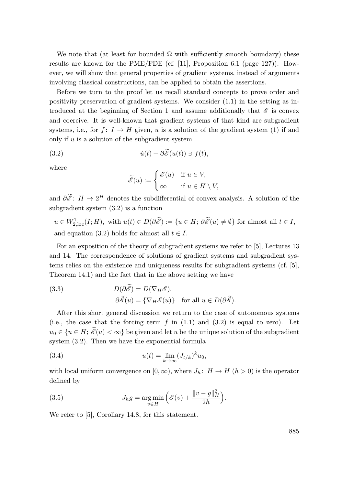We note that (at least for bounded  $\Omega$  with sufficiently smooth boundary) these results are known for the PME/FDE (cf. [11], Proposition 6.1 (page 127)). However, we will show that general properties of gradient systems, instead of arguments involving classical constructions, can be applied to obtain the assertions.

Before we turn to the proof let us recall standard concepts to prove order and positivity preservation of gradient systems. We consider (1.1) in the setting as introduced at the beginning of Section 1 and assume additionally that  $\mathscr E$  is convex and coercive. It is well-known that gradient systems of that kind are subgradient systems, i.e., for  $f: I \to H$  given, u is a solution of the gradient system (1) if and only if  $u$  is a solution of the subgradient system

(3.2) 
$$
\dot{u}(t) + \partial \widetilde{\mathscr{E}}(u(t)) \ni f(t),
$$

where

$$
\widetilde{\mathcal{E}}(u) := \begin{cases} \mathcal{E}(u) & \text{if } u \in V, \\ \infty & \text{if } u \in H \setminus V, \end{cases}
$$

and  $\partial \tilde{\mathscr{E}}: H \to 2^H$  denotes the subdifferential of convex analysis. A solution of the subgradient system (3.2) is a function

 $u \in W_{2,loc}^1(I;H)$ , with  $u(t) \in D(\partial \widetilde{\mathscr{E}}) := \{u \in H; \partial \widetilde{\mathscr{E}}(u) \neq \emptyset\}$  for almost all  $t \in I$ , and equation (3.2) holds for almost all  $t \in I$ .

For an exposition of the theory of subgradient systems we refer to [5], Lectures 13 and 14. The correspondence of solutions of gradient systems and subgradient systems relies on the existence and uniqueness results for subgradient systems (cf. [5], Theorem 14.1) and the fact that in the above setting we have

(3.3) 
$$
D(\partial \widetilde{\mathscr{E}}) = D(\nabla_H \mathscr{E}),
$$

$$
\partial \widetilde{\mathscr{E}}(u) = {\nabla_H \mathscr{E}(u)} \quad \text{for all } u \in D(\partial \widetilde{\mathscr{E}}).
$$

After this short general discussion we return to the case of autonomous systems (i.e., the case that the forcing term  $f$  in (1.1) and (3.2) is equal to zero). Let  $u_0 \in \{u \in H; \tilde{\mathcal{E}}(u) < \infty\}$  be given and let u be the unique solution of the subgradient system (3.2). Then we have the exponential formula

(3.4) 
$$
u(t) = \lim_{k \to \infty} (J_{t/k})^k u_0,
$$

with local uniform convergence on  $[0, \infty)$ , where  $J_h: H \to H$   $(h > 0)$  is the operator defined by

(3.5) 
$$
J_h g = \underset{v \in H}{\arg \min} \left( \mathcal{E}(v) + \frac{\|v - g\|_H^2}{2h} \right).
$$

We refer to [5], Corollary 14.8, for this statement.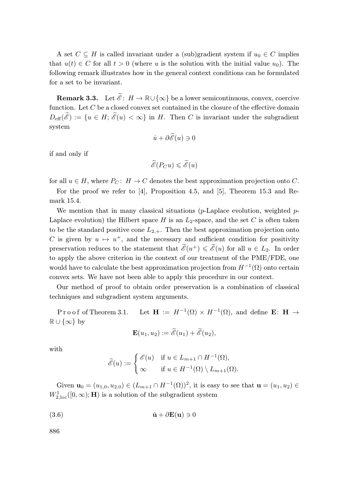A set  $C \subseteq H$  is called invariant under a (sub)gradient system if  $u_0 \in C$  implies that  $u(t) \in C$  for all  $t > 0$  (where u is the solution with the initial value  $u_0$ ). The following remark illustrates how in the general context conditions can be formulated for a set to be invariant.

**Remark 3.3.** Let  $\widetilde{\mathscr{E}}: H \to \mathbb{R} \cup \{\infty\}$  be a lower semicontinuous, convex, coercive function. Let  $C$  be a closed convex set contained in the closure of the effective domain  $D_{\text{eff}}(\tilde{\mathscr{E}}):=\{u \in H; \tilde{\mathscr{E}}(u) < \infty\}$  in H. Then C is invariant under the subgradient system

$$
\dot{u} + \partial \widetilde{\mathscr{E}}(u) \ni 0
$$

if and only if

$$
\widetilde{\mathcal{E}}(P_C u) \leqslant \widetilde{\mathcal{E}}(u)
$$

for all  $u \in H$ , where  $P_C: H \to C$  denotes the best approximation projection onto C.

For the proof we refer to [4], Proposition 4.5, and [5], Theorem 15.3 and Remark 15.4.

We mention that in many classical situations (p-Laplace evolution, weighted p-Laplace evolution) the Hilbert space  $H$  is an  $L_2$ -space, and the set C is often taken to be the standard positive cone  $L_{2,+}$ . Then the best approximation projection onto C is given by  $u \mapsto u^+$ , and the necessary and sufficient condition for positivity preservation reduces to the statement that  $\tilde{\mathscr{E}}(u^+) \leqslant \tilde{\mathscr{E}}(u)$  for all  $u \in L_2$ . In order to apply the above criterion in the context of our treatment of the PME/FDE, one would have to calculate the best approximation projection from  $H^{-1}(\Omega)$  onto certain convex sets. We have not been able to apply this procedure in our context.

Our method of proof to obtain order preservation is a combination of classical techniques and subgradient system arguments.

Proof of Theorem 3.1.  $(\Omega) \times H^{-1}(\Omega)$ , and define **E**: **H**  $\rightarrow$  $\mathbb{R} \cup {\infty}$  by

$$
\mathbf{E}(u_1, u_2) := \widetilde{\mathcal{E}}(u_1) + \widetilde{\mathcal{E}}(u_2),
$$

with

$$
\widetilde{\mathcal{E}}(u) := \begin{cases} \mathcal{E}(u) & \text{if } u \in L_{m+1} \cap H^{-1}(\Omega), \\ \infty & \text{if } u \in H^{-1}(\Omega) \setminus L_{m+1}(\Omega). \end{cases}
$$

Given  $\mathbf{u}_0 = (u_{1,0}, u_{2,0}) \in (L_{m+1} \cap H^{-1}(\Omega))^2$ , it is easy to see that  $\mathbf{u} = (u_1, u_2) \in$  $W^1_{2,\mathrm{loc}}([0,\infty);\mathbf{H})$  is a solution of the subgradient system

(3.6) 
$$
\dot{\mathbf{u}} + \partial \mathbf{E}(\mathbf{u}) \ni 0
$$

886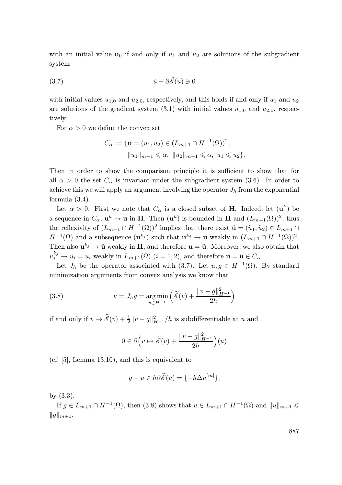with an initial value  $u_0$  if and only if  $u_1$  and  $u_2$  are solutions of the subgradient system

(3.7) <sup>u</sup>˙ <sup>+</sup> <sup>∂</sup>Ee(u) <sup>∋</sup> <sup>0</sup>

with initial values  $u_{1,0}$  and  $u_{2,0}$ , respectively, and this holds if and only if  $u_1$  and  $u_2$ are solutions of the gradient system  $(3.1)$  with initial values  $u_{1,0}$  and  $u_{2,0}$ , respectively.

For  $\alpha > 0$  we define the convex set

$$
C_{\alpha} := \{ \mathbf{u} = (u_1, u_2) \in (L_{m+1} \cap H^{-1}(\Omega))^2; ||u_1||_{m+1} \leq \alpha, ||u_2||_{m+1} \leq \alpha, u_1 \leq u_2 \}.
$$

Then in order to show the comparison principle it is sufficient to show that for all  $\alpha > 0$  the set  $C_{\alpha}$  is invariant under the subgradient system (3.6). In order to achieve this we will apply an argument involving the operator  $J<sub>h</sub>$  from the exponential formula (3.4).

Let  $\alpha > 0$ . First we note that  $C_{\alpha}$  is a closed subset of **H**. Indeed, let  $(\mathbf{u}^k)$  be a sequence in  $C_{\alpha}$ ,  $\mathbf{u}^{k} \to \mathbf{u}$  in H. Then  $(\mathbf{u}^{k})$  is bounded in H and  $(L_{m+1}(\Omega))^{2}$ ; thus the reflexivity of  $(L_{m+1} \cap H^{-1}(\Omega))^2$  implies that there exist  $\tilde{\mathbf{u}} = (\tilde{u}_1, \tilde{u}_2) \in L_{m+1} \cap$  $H^{-1}(\Omega)$  and a subsequence  $(\mathbf{u}^{k_j})$  such that  $\mathbf{u}^{k_j} \to \tilde{\mathbf{u}}$  weakly in  $(L_{m+1} \cap H^{-1}(\Omega))^2$ . Then also  $\mathbf{u}^{k_j} \to \tilde{\mathbf{u}}$  weakly in H, and therefore  $\mathbf{u} = \tilde{\mathbf{u}}$ . Moreover, we also obtain that  $u_i^{k_j} \to \tilde{u}_i = u_i$  weakly in  $L_{m+1}(\Omega)$   $(i = 1, 2)$ , and therefore  $\mathbf{u} = \tilde{\mathbf{u}} \in C_{\alpha}$ .

Let  $J_h$  be the operator associated with (3.7). Let  $u, g \in H^{-1}(\Omega)$ . By standard minimization arguments from convex analysis we know that

(3.8) 
$$
u = J_h g = \underset{v \in H^{-1}}{\arg \min} \left( \widetilde{\mathscr{E}}(v) + \frac{\|v - g\|_{H^{-1}}^2}{2h} \right)
$$

if and only if  $v \mapsto \widetilde{\mathcal{E}}(v) + \frac{1}{2} ||v - g||_{H^{-1}}^2/h$  is subdifferentiable at u and

$$
0\in\partial\Big(v\mapsto\widetilde{\mathscr{E}}(v)+\frac{\|v-g\|^2_{H^{-1}}}{2h}\Big)(u)
$$

(cf. [5], Lemma 13.10), and this is equivalent to

$$
g - u \in h\partial \widetilde{\mathscr{E}}(u) = \{-h\Delta u^{[m]}\},\
$$

by (3.3).

If  $g \in L_{m+1} \cap H^{-1}(\Omega)$ , then  $(3.8)$  shows that  $u \in L_{m+1} \cap H^{-1}(\Omega)$  and  $||u||_{m+1} \leq$  $||g||_{m+1}.$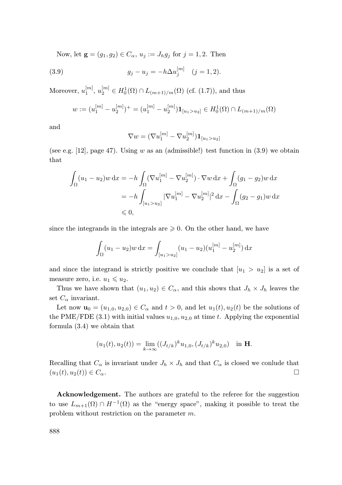Now, let  $\mathbf{g} = (g_1, g_2) \in C_\alpha$ ,  $u_j := J_h g_j$  for  $j = 1, 2$ . Then

(3.9) 
$$
g_j - u_j = -h \Delta u_j^{[m]} \quad (j = 1, 2).
$$

Moreover,  $u_1^{[m]}$ ,  $u_2^{[m]} \in H_0^1(\Omega) \cap L_{(m+1)/m}(\Omega)$  (cf. (1.7)), and thus

$$
w := (u_1^{[m]} - u_2^{[m]})^+ = (u_1^{[m]} - u_2^{[m]}) \mathbf{1}_{[u_1 > u_2]} \in H_0^1(\Omega) \cap L_{(m+1)/m}(\Omega)
$$

and

$$
\nabla w = (\nabla u_1^{[m]} - \nabla u_2^{[m]}) \mathbf{1}_{[u_1 > u_2]}
$$

(see e.g. [12], page 47). Using  $w$  as an (admissible!) test function in (3.9) we obtain that

$$
\int_{\Omega} (u_1 - u_2) w \, dx = -h \int_{\Omega} (\nabla u_1^{[m]} - \nabla u_2^{[m]}) \cdot \nabla w \, dx + \int_{\Omega} (g_1 - g_2) w \, dx
$$
  
=  $-h \int_{[u_1 > u_2]} |\nabla u_1^{[m]} - \nabla u_2^{[m]}|^2 \, dx - \int_{\Omega} (g_2 - g_1) w \, dx$   
 $\leq 0,$ 

since the integrands in the integrals are  $\geqslant 0$ . On the other hand, we have

$$
\int_{\Omega} (u_1 - u_2) w \, dx = \int_{[u_1 > u_2]} (u_1 - u_2) (u_1^{[m]} - u_2^{[m]}) \, dx
$$

and since the integrand is strictly positive we conclude that  $[u_1 > u_2]$  is a set of measure zero, i.e.  $u_1 \leqslant u_2$ .

Thus we have shown that  $(u_1, u_2) \in C_\alpha$ , and this shows that  $J_h \times J_h$  leaves the set  $C_{\alpha}$  invariant.

Let now  $\mathbf{u}_0 = (u_{1,0}, u_{2,0}) \in C_\alpha$  and  $t > 0$ , and let  $u_1(t), u_2(t)$  be the solutions of the PME/FDE (3.1) with initial values  $u_{1,0}, u_{2,0}$  at time t. Applying the exponential formula (3.4) we obtain that

$$
(u_1(t), u_2(t)) = \lim_{k \to \infty} ((J_{t/k})^k u_{1,0}, (J_{t/k})^k u_{2,0}) \text{ in } \mathbf{H}.
$$

Recalling that  $C_{\alpha}$  is invariant under  $J_h \times J_h$  and that  $C_{\alpha}$  is closed we conlude that  $(u_1(t), u_2(t)) \in C_\alpha.$ 

Acknowledgement. The authors are grateful to the referee for the suggestion to use  $L_{m+1}(\Omega) \cap H^{-1}(\Omega)$  as the "energy space", making it possible to treat the problem without restriction on the parameter m.